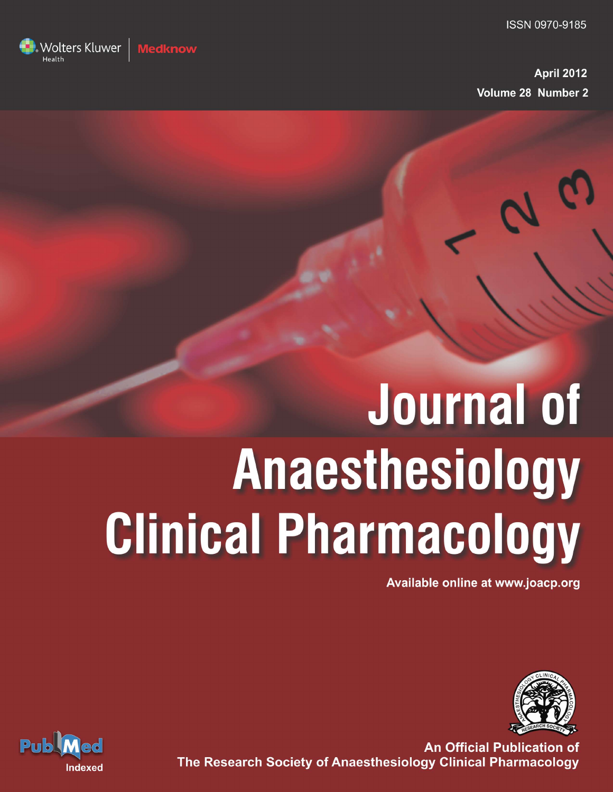

# **Journal of** Anaesthesiology **Clinical Pharmacology**

Available online at www.joacp.org



**An Official Publication of** The Research Society of Anaesthesiology Clinical Pharmacology



Wolters Kluwer

dknow!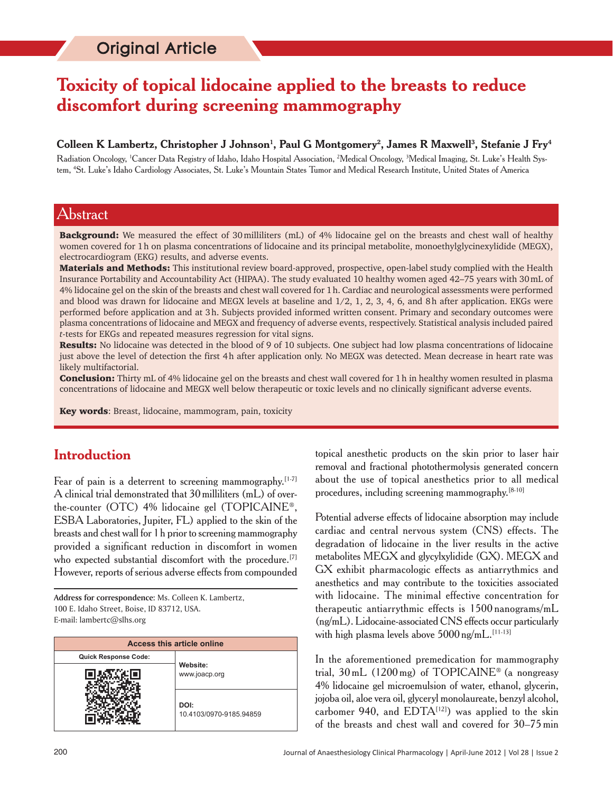# **Toxicity of topical lidocaine applied to the breasts to reduce discomfort during screening mammography**

#### ${\bf C}$ olleen  ${\bf K}$  Lambertz, Christopher J Johnson<sup>1</sup>, Paul  ${\bf G}$  Montgomery<sup>2</sup>, James R Maxwell<sup>3</sup>, Stefanie J Fry<sup>4</sup>

Radiation Oncology, 'Cancer Data Registry of Idaho, Idaho Hospital Association, <sup>2</sup>Medical Oncology, <sup>3</sup>Medical Imaging, St. Luke's Health System, 4 St. Luke's Idaho Cardiology Associates, St. Luke's Mountain States Tumor and Medical Research Institute, United States of America

#### Abstract

**Background:** We measured the effect of 30 milliliters (mL) of 4% lidocaine gel on the breasts and chest wall of healthy women covered for 1 h on plasma concentrations of lidocaine and its principal metabolite, monoethylglycinexylidide (MEGX), electrocardiogram (EKG) results, and adverse events.

Materials and Methods: This institutional review board-approved, prospective, open-label study complied with the Health Insurance Portability and Accountability Act (HIPAA). The study evaluated 10 healthy women aged 42–75 years with 30 mL of 4% lidocaine gel on the skin of the breasts and chest wall covered for 1 h. Cardiac and neurological assessments were performed and blood was drawn for lidocaine and MEGX levels at baseline and  $1/2$ ,  $1$ ,  $2$ ,  $3$ ,  $4$ ,  $6$ , and  $8$  h after application. EKGs were performed before application and at 3 h. Subjects provided informed written consent. Primary and secondary outcomes were plasma concentrations of lidocaine and MEGX and frequency of adverse events, respectively. Statistical analysis included paired *t*-tests for EKGs and repeated measures regression for vital signs.

Results: No lidocaine was detected in the blood of 9 of 10 subjects. One subject had low plasma concentrations of lidocaine just above the level of detection the first 4 h after application only. No MEGX was detected. Mean decrease in heart rate was likely multifactorial.

**Conclusion:** Thirty mL of 4% lidocaine gel on the breasts and chest wall covered for 1 h in healthy women resulted in plasma concentrations of lidocaine and MEGX well below therapeutic or toxic levels and no clinically significant adverse events.

Key words: Breast, lidocaine, mammogram, pain, toxicity

## **Introduction**

Fear of pain is a deterrent to screening mammography.<sup>[1-7]</sup> A clinical trial demonstrated that 30 milliliters (mL) of overthe-counter (OTC) 4% lidocaine gel (TOPICAINE®, ESBA Laboratories, Jupiter, FL) applied to the skin of the breasts and chest wall for 1 h prior to screening mammography provided a significant reduction in discomfort in women who expected substantial discomfort with the procedure.<sup>[7]</sup> However, reports of serious adverse effects from compounded

**Address for correspondence:** Ms. Colleen K. Lambertz, 100 E. Idaho Street, Boise, ID 83712, USA. E-mail: lambertc@slhs.org

| <b>Access this article online</b> |                                 |  |  |  |  |  |  |
|-----------------------------------|---------------------------------|--|--|--|--|--|--|
| <b>Quick Response Code:</b>       |                                 |  |  |  |  |  |  |
|                                   | Website:<br>www.joacp.org       |  |  |  |  |  |  |
|                                   | DOI:<br>10.4103/0970-9185.94859 |  |  |  |  |  |  |

topical anesthetic products on the skin prior to laser hair removal and fractional photothermolysis generated concern about the use of topical anesthetics prior to all medical procedures, including screening mammography.[8-10]

Potential adverse effects of lidocaine absorption may include cardiac and central nervous system (CNS) effects. The degradation of lidocaine in the liver results in the active metabolites MEGX and glycylxylidide (GX). MEGX and GX exhibit pharmacologic effects as antiarrythmics and anesthetics and may contribute to the toxicities associated with lidocaine. The minimal effective concentration for therapeutic antiarrythmic effects is 1500 nanograms/mL (ng/mL). Lidocaine-associated CNS effects occur particularly with high plasma levels above  $5000$  ng/mL.<sup>[11-13]</sup>

In the aforementioned premedication for mammography trial,  $30 \text{ mL}$  (1200 mg) of TOPICAINE<sup>®</sup> (a nongreasy 4% lidocaine gel microemulsion of water, ethanol, glycerin, jojoba oil, aloe vera oil, glyceryl monolaureate, benzyl alcohol, carbomer 940, and  $EDTA^{[12]}$  was applied to the skin of the breasts and chest wall and covered for 30–75 min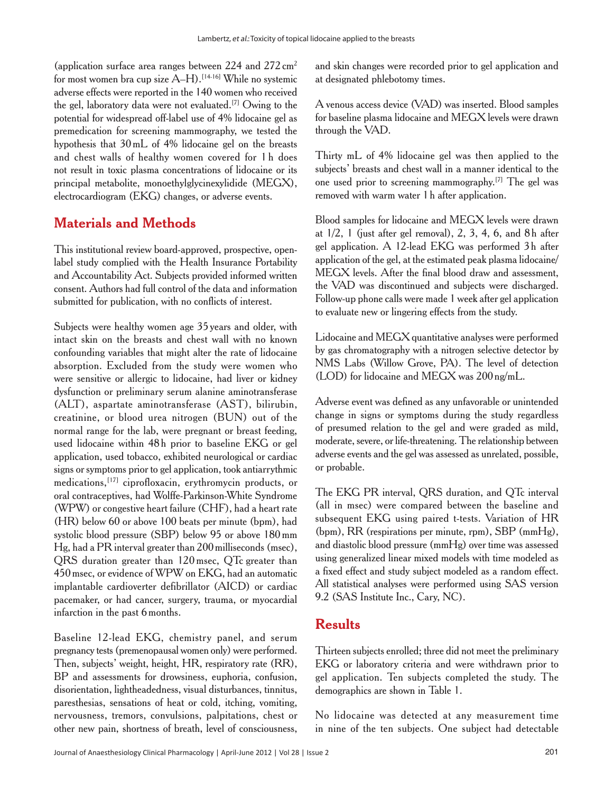(application surface area ranges between  $224$  and  $272 \text{ cm}^2$ for most women bra cup size  $A-H$ ).<sup>[14-16]</sup> While no systemic adverse effects were reported in the 140 women who received the gel, laboratory data were not evaluated.[7] Owing to the potential for widespread off-label use of 4% lidocaine gel as premedication for screening mammography, we tested the hypothesis that 30 mL of 4% lidocaine gel on the breasts and chest walls of healthy women covered for 1 h does not result in toxic plasma concentrations of lidocaine or its principal metabolite, monoethylglycinexylidide (MEGX), electrocardiogram (EKG) changes, or adverse events.

# **Materials and Methods**

This institutional review board-approved, prospective, openlabel study complied with the Health Insurance Portability and Accountability Act. Subjects provided informed written consent. Authors had full control of the data and information submitted for publication, with no conflicts of interest.

Subjects were healthy women age 35 years and older, with intact skin on the breasts and chest wall with no known confounding variables that might alter the rate of lidocaine absorption. Excluded from the study were women who were sensitive or allergic to lidocaine, had liver or kidney dysfunction or preliminary serum alanine aminotransferase (ALT), aspartate aminotransferase (AST), bilirubin, creatinine, or blood urea nitrogen (BUN) out of the normal range for the lab, were pregnant or breast feeding, used lidocaine within 48 h prior to baseline EKG or gel application, used tobacco, exhibited neurological or cardiac signs or symptoms prior to gel application, took antiarrythmic medications,[17] ciprofloxacin, erythromycin products, or oral contraceptives, had Wolffe-Parkinson-White Syndrome (WPW) or congestive heart failure (CHF), had a heart rate (HR) below 60 or above 100 beats per minute (bpm), had systolic blood pressure (SBP) below 95 or above 180 mm Hg, had a PR interval greater than 200 milliseconds (msec), QRS duration greater than 120 msec, QTc greater than 450 msec, or evidence of WPW on EKG, had an automatic implantable cardioverter defibrillator (AICD) or cardiac pacemaker, or had cancer, surgery, trauma, or myocardial infarction in the past 6 months.

Baseline 12-lead EKG, chemistry panel, and serum pregnancy tests (premenopausal women only) were performed. Then, subjects' weight, height, HR, respiratory rate (RR), BP and assessments for drowsiness, euphoria, confusion, disorientation, lightheadedness, visual disturbances, tinnitus, paresthesias, sensations of heat or cold, itching, vomiting, nervousness, tremors, convulsions, palpitations, chest or other new pain, shortness of breath, level of consciousness,

and skin changes were recorded prior to gel application and at designated phlebotomy times.

A venous access device (VAD) was inserted. Blood samples for baseline plasma lidocaine and MEGX levels were drawn through the VAD.

Thirty mL of 4% lidocaine gel was then applied to the subjects' breasts and chest wall in a manner identical to the one used prior to screening mammography.[7] The gel was removed with warm water 1 h after application.

Blood samples for lidocaine and MEGX levels were drawn at  $1/2$ , 1 (just after gel removal), 2, 3, 4, 6, and 8h after gel application. A 12-lead EKG was performed 3 h after application of the gel, at the estimated peak plasma lidocaine/ MEGX levels. After the final blood draw and assessment, the VAD was discontinued and subjects were discharged. Follow-up phone calls were made 1 week after gel application to evaluate new or lingering effects from the study.

Lidocaine and MEGX quantitative analyses were performed by gas chromatography with a nitrogen selective detector by NMS Labs (Willow Grove, PA). The level of detection (LOD) for lidocaine and MEGX was 200 ng/mL.

Adverse event was defined as any unfavorable or unintended change in signs or symptoms during the study regardless of presumed relation to the gel and were graded as mild, moderate, severe, or life-threatening. The relationship between adverse events and the gel was assessed as unrelated, possible, or probable.

The EKG PR interval, QRS duration, and QTc interval (all in msec) were compared between the baseline and subsequent EKG using paired t-tests. Variation of HR (bpm), RR (respirations per minute, rpm), SBP (mmHg), and diastolic blood pressure (mmHg) over time was assessed using generalized linear mixed models with time modeled as a fixed effect and study subject modeled as a random effect. All statistical analyses were performed using SAS version 9.2 (SAS Institute Inc., Cary, NC).

## **Results**

Thirteen subjects enrolled; three did not meet the preliminary EKG or laboratory criteria and were withdrawn prior to gel application. Ten subjects completed the study. The demographics are shown in Table 1.

No lidocaine was detected at any measurement time in nine of the ten subjects. One subject had detectable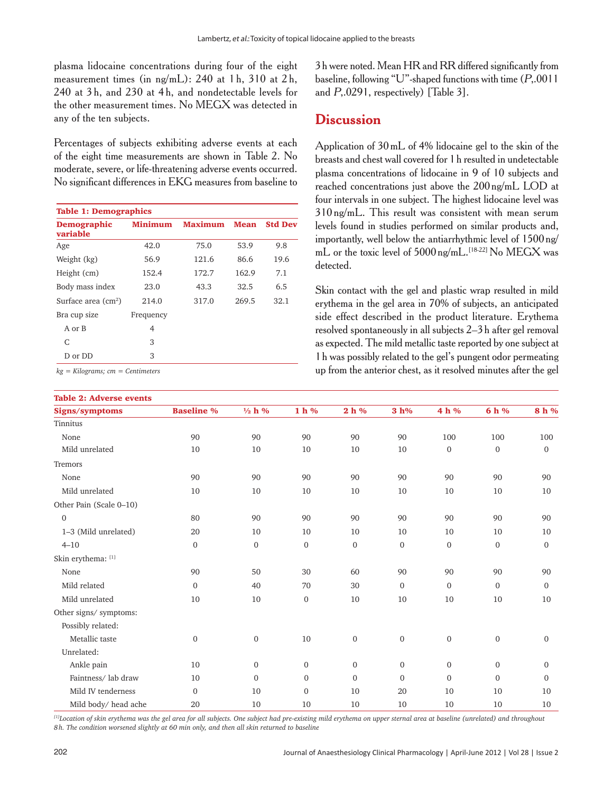plasma lidocaine concentrations during four of the eight measurement times (in ng/mL): 240 at 1 h, 310 at 2 h, 240 at 3 h, and 230 at 4 h, and nondetectable levels for the other measurement times. No MEGX was detected in any of the ten subjects.

Percentages of subjects exhibiting adverse events at each of the eight time measurements are shown in Table 2. No moderate, severe, or life-threatening adverse events occurred. No significant differences in EKG measures from baseline to

| <b>Table 1: Demographics</b>   |                |                |             |                |  |  |  |  |
|--------------------------------|----------------|----------------|-------------|----------------|--|--|--|--|
| <b>Demographic</b><br>variable | <b>Minimum</b> | <b>Maximum</b> | <b>Mean</b> | <b>Std Dev</b> |  |  |  |  |
| Age                            | 42.0           | 75.0           | 53.9        | 9.8            |  |  |  |  |
| Weight (kg)                    | 56.9           | 121.6          | 86.6        | 19.6           |  |  |  |  |
| Height (cm)                    | 152.4          | 172.7          | 162.9       | 7.1            |  |  |  |  |
| Body mass index                | 23.0           | 43.3           | 32.5        | 6.5            |  |  |  |  |
| Surface area $\text{cm}^2$ )   | 214.0          | 317.0          | 269.5       | 32.1           |  |  |  |  |
| Bra cup size                   | Frequency      |                |             |                |  |  |  |  |
| A or B                         | 4              |                |             |                |  |  |  |  |
| C                              | 3              |                |             |                |  |  |  |  |
| D or DD                        | 3              |                |             |                |  |  |  |  |

*kg = Kilograms; cm = Centimeters*

#### Table 2: Adverse events

3 h were noted. Mean HR and RR differed significantly from baseline, following "U"-shaped functions with time (P,.0011 and P,.0291, respectively) [Table 3].

#### **Discussion**

Application of 30 mL of 4% lidocaine gel to the skin of the breasts and chest wall covered for 1 h resulted in undetectable plasma concentrations of lidocaine in 9 of 10 subjects and reached concentrations just above the 200 ng/mL LOD at four intervals in one subject. The highest lidocaine level was 310 ng/mL. This result was consistent with mean serum levels found in studies performed on similar products and, importantly, well below the antiarrhythmic level of 1500 ng/ mL or the toxic level of  $5000$  ng/mL.<sup>[18-22]</sup> No MEGX was detected.

Skin contact with the gel and plastic wrap resulted in mild erythema in the gel area in 70% of subjects, an anticipated side effect described in the product literature. Erythema resolved spontaneously in all subjects 2–3 h after gel removal as expected. The mild metallic taste reported by one subject at 1 h was possibly related to the gel's pungent odor permeating up from the anterior chest, as it resolved minutes after the gel

| TADIC 4. AUVELOC CYCHIO |                   |                   |                |                  |              |                  |                  |                |
|-------------------------|-------------------|-------------------|----------------|------------------|--------------|------------------|------------------|----------------|
| Signs/symptoms          | <b>Baseline %</b> | $\frac{1}{2}$ h % | $1h$ %         | $2 h \%$         | 3 h%         | 4 h %            | 6 h %            | 8 h %          |
| Tinnitus                |                   |                   |                |                  |              |                  |                  |                |
| None                    | 90                | 90                | 90             | 90               | 90           | 100              | 100              | 100            |
| Mild unrelated          | 10                | 10                | 10             | 10               | 10           | $\boldsymbol{0}$ | $\mathbf{0}$     | $\mathbf{0}$   |
| Tremors                 |                   |                   |                |                  |              |                  |                  |                |
| None                    | 90                | 90                | 90             | 90               | 90           | 90               | 90               | 90             |
| Mild unrelated          | 10                | 10                | 10             | 10               | 10           | 10               | 10               | 10             |
| Other Pain (Scale 0-10) |                   |                   |                |                  |              |                  |                  |                |
| $\overline{0}$          | 80                | 90                | 90             | 90               | 90           | 90               | 90               | 90             |
| 1-3 (Mild unrelated)    | 20                | 10                | 10             | 10               | 10           | 10               | 10               | 10             |
| $4 - 10$                | $\mathbf{0}$      | $\boldsymbol{0}$  | $\overline{0}$ | $\mathbf{0}$     | $\mathbf{0}$ | $\overline{0}$   | $\mathbf{0}$     | $\overline{0}$ |
| Skin erythema: [1]      |                   |                   |                |                  |              |                  |                  |                |
| None                    | 90                | 50                | 30             | 60               | 90           | 90               | 90               | 90             |
| Mild related            | $\mathbf{0}$      | 40                | 70             | 30               | $\mathbf{0}$ | $\mathbf{0}$     | $\mathbf{0}$     | $\mathbf{0}$   |
| Mild unrelated          | 10                | 10                | $\overline{0}$ | 10               | 10           | 10               | 10               | 10             |
| Other signs/ symptoms:  |                   |                   |                |                  |              |                  |                  |                |
| Possibly related:       |                   |                   |                |                  |              |                  |                  |                |
| Metallic taste          | $\mathbf{0}$      | $\boldsymbol{0}$  | 10             | $\boldsymbol{0}$ | $\mathbf{0}$ | $\boldsymbol{0}$ | $\boldsymbol{0}$ | $\mathbf{0}$   |
| Unrelated:              |                   |                   |                |                  |              |                  |                  |                |
| Ankle pain              | 10                | $\boldsymbol{0}$  | $\overline{0}$ | $\mathbf{0}$     | $\mathbf{0}$ | $\mathbf{0}$     | $\mathbf{0}$     | $\overline{0}$ |
| Faintness/lab draw      | 10                | $\boldsymbol{0}$  | $\Omega$       | $\Omega$         | $\Omega$     | $\Omega$         | $\Omega$         | $\Omega$       |
| Mild IV tenderness      | $\mathbf{0}$      | 10                | $\mathbf{0}$   | 10               | 20           | 10               | 10               | 10             |
| Mild body/head ache     | 20                | 10                | 10             | 10               | 10           | 10               | 10               | 10             |

*[1]Location of skin erythema was the gel area for all subjects. One subject had pre-existing mild erythema on upper sternal area at baseline (unrelated) and throughout 8 h. The condition worsened slightly at 60 min only, and then all skin returned to baseline*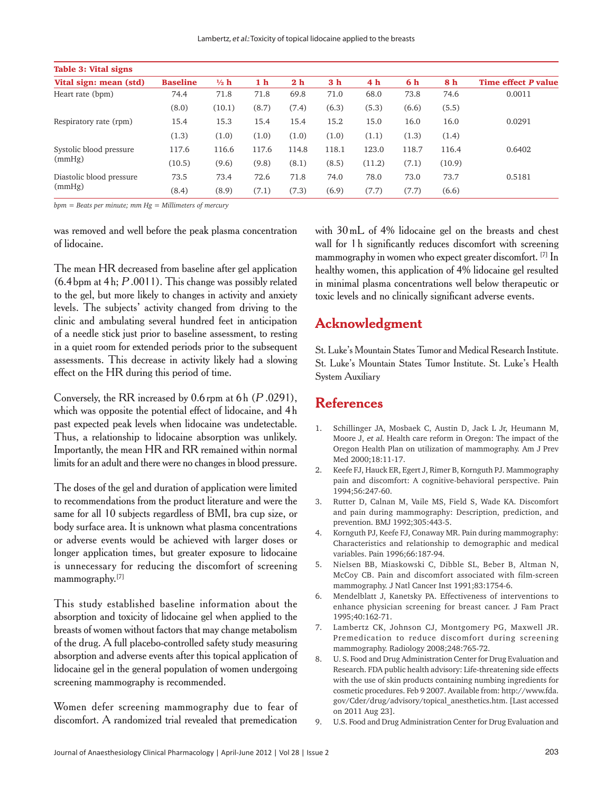| Table 3: Vital signs               |                 |                |       |                |                |                |       |        |                     |
|------------------------------------|-----------------|----------------|-------|----------------|----------------|----------------|-------|--------|---------------------|
| Vital sign: mean (std)             | <b>Baseline</b> | $\frac{1}{2}h$ | 1 h   | 2 <sub>h</sub> | 3 <sub>h</sub> | 4 <sub>h</sub> | 6 h   | 8 h    | Time effect P value |
| Heart rate (bpm)                   | 74.4            | 71.8           | 71.8  | 69.8           | 71.0           | 68.0           | 73.8  | 74.6   | 0.0011              |
|                                    | (8.0)           | (10.1)         | (8.7) | (7.4)          | (6.3)          | (5.3)          | (6.6) | (5.5)  |                     |
| Respiratory rate (rpm)             | 15.4            | 15.3           | 15.4  | 15.4           | 15.2           | 15.0           | 16.0  | 16.0   | 0.0291              |
|                                    | (1.3)           | (1.0)          | (1.0) | (1.0)          | (1.0)          | (1.1)          | (1.3) | (1.4)  |                     |
| Systolic blood pressure<br>(mmHg)  | 117.6           | 116.6          | 117.6 | 114.8          | 118.1          | 123.0          | 118.7 | 116.4  | 0.6402              |
|                                    | (10.5)          | (9.6)          | (9.8) | (8.1)          | (8.5)          | (11.2)         | (7.1) | (10.9) |                     |
| Diastolic blood pressure<br>(mmHg) | 73.5            | 73.4           | 72.6  | 71.8           | 74.0           | 78.0           | 73.0  | 73.7   | 0.5181              |
|                                    | (8.4)           | (8.9)          | (7.1) | (7.3)          | (6.9)          | (7.7)          | (7.7) | (6.6)  |                     |

*bpm = Beats per minute; mm Hg = Millimeters of mercury*

was removed and well before the peak plasma concentration of lidocaine.

The mean HR decreased from baseline after gel application  $(6.4 \text{ bpm}$  at  $4 \text{ h}; P.0011)$ . This change was possibly related to the gel, but more likely to changes in activity and anxiety levels. The subjects' activity changed from driving to the clinic and ambulating several hundred feet in anticipation of a needle stick just prior to baseline assessment, to resting in a quiet room for extended periods prior to the subsequent assessments. This decrease in activity likely had a slowing effect on the HR during this period of time.

Conversely, the RR increased by  $0.6$  rpm at  $6h$  ( $P.0291$ ), which was opposite the potential effect of lidocaine, and 4 h past expected peak levels when lidocaine was undetectable. Thus, a relationship to lidocaine absorption was unlikely. Importantly, the mean HR and RR remained within normal limits for an adult and there were no changes in blood pressure.

The doses of the gel and duration of application were limited to recommendations from the product literature and were the same for all 10 subjects regardless of BMI, bra cup size, or body surface area. It is unknown what plasma concentrations or adverse events would be achieved with larger doses or longer application times, but greater exposure to lidocaine is unnecessary for reducing the discomfort of screening mammography.[7]

This study established baseline information about the absorption and toxicity of lidocaine gel when applied to the breasts of women without factors that may change metabolism of the drug. A full placebo-controlled safety study measuring absorption and adverse events after this topical application of lidocaine gel in the general population of women undergoing screening mammography is recommended.

Women defer screening mammography due to fear of discomfort. A randomized trial revealed that premedication with 30 mL of 4% lidocaine gel on the breasts and chest wall for 1 h significantly reduces discomfort with screening mammography in women who expect greater discomfort. [7] In healthy women, this application of 4% lidocaine gel resulted in minimal plasma concentrations well below therapeutic or toxic levels and no clinically significant adverse events.

#### **Acknowledgment**

St. Luke's Mountain States Tumor and Medical Research Institute. St. Luke's Mountain States Tumor Institute. St. Luke's Health System Auxiliary

# **References**

- 1. Schillinger JA, Mosbaek C, Austin D, Jack L Jr, Heumann M, Moore J, et al. Health care reform in Oregon: The impact of the Oregon Health Plan on utilization of mammography. Am J Prev Med 2000;18:11-17.
- 2. Keefe FJ, Hauck ER, Egert J, Rimer B, Kornguth PJ. Mammography pain and discomfort: A cognitive-behavioral perspective. Pain 1994;56:247-60.
- 3. Rutter D, Calnan M, Vaile MS, Field S, Wade KA. Discomfort and pain during mammography: Description, prediction, and prevention. BMJ 1992;305:443-5.
- 4. Kornguth PJ, Keefe FJ, Conaway MR. Pain during mammography: Characteristics and relationship to demographic and medical variables. Pain 1996;66:187-94.
- 5. Nielsen BB, Miaskowski C, Dibble SL, Beber B, Altman N, McCoy CB. Pain and discomfort associated with film-screen mammography. J Natl Cancer Inst 1991;83:1754-6.
- 6. Mendelblatt J, Kanetsky PA. Effectiveness of interventions to enhance physician screening for breast cancer. J Fam Pract 1995;40:162-71.
- 7. Lambertz CK, Johnson CJ, Montgomery PG, Maxwell JR. Premedication to reduce discomfort during screening mammography. Radiology 2008;248:765-72.
- 8. U. S. Food and Drug Administration Center for Drug Evaluation and Research. FDA public health advisory: Life-threatening side effects with the use of skin products containing numbing ingredients for cosmetic procedures. Feb 9 2007. Available from: http://www.fda. gov/Cder/drug/advisory/topical\_anesthetics.htm. [Last accessed on 2011 Aug 23].
- 9. U.S. Food and Drug Administration Center for Drug Evaluation and